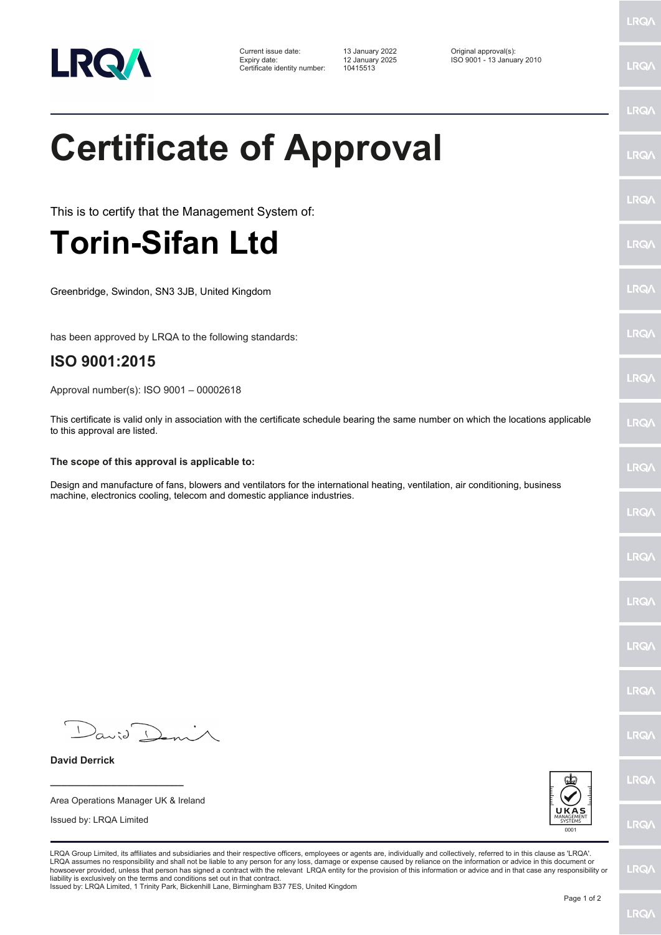

Current issue date: 13 January 2022 Original approval(s): Expiry date: 12 January 2025 ISO 9001 - 13 January 2010 Certificate identity number: 10415513

**Certificate of Approval**

This is to certify that the Management System of:

## **Torin-Sifan Ltd**

Greenbridge, Swindon, SN3 3JB, United Kingdom

has been approved by LRQA to the following standards:

## **ISO 9001:2015**

Approval number(s): ISO 9001 – 00002618

This certificate is valid only in association with the certificate schedule bearing the same number on which the locations applicable to this approval are listed.

## **The scope of this approval is applicable to:**

Design and manufacture of fans, blowers and ventilators for the international heating, ventilation, air conditioning, business machine, electronics cooling, telecom and domestic appliance industries.

 $D_{\alpha\omega; \partial \Omega}$ 

**\_\_\_\_\_\_\_\_\_\_\_\_\_\_\_\_\_\_\_\_\_\_\_\_** Area Operations Manager UK & Ireland

Issued by: LRQA Limited

**David Derrick**

LRQA Group Limited, its affiliates and subsidiaries and their respective officers, employees or agents are, individually and collectively, referred to in this clause as 'LRQA'. LRQA assumes no responsibility and shall not be liable to any person for any loss, damage or expense caused by reliance on the information or advice in this document or<br>howsoever provided, unless that person has signed a c liability is exclusively on the terms and conditions set out in that contract.

Issued by: LRQA Limited, 1 Trinity Park, Bickenhill Lane, Birmingham B37 7ES, United Kingdom

LRQ/

LRQ/

LRQ/

LRQ/

**LRQ/** 

LRQ/

LRQ/

**LRQA** 

LRQ/

LRQ/

LRQ/

LRQ/

LRQ/

LRQ/

**LRO/** 

LRQ/

LRQ/

LRQ/

LRQ/